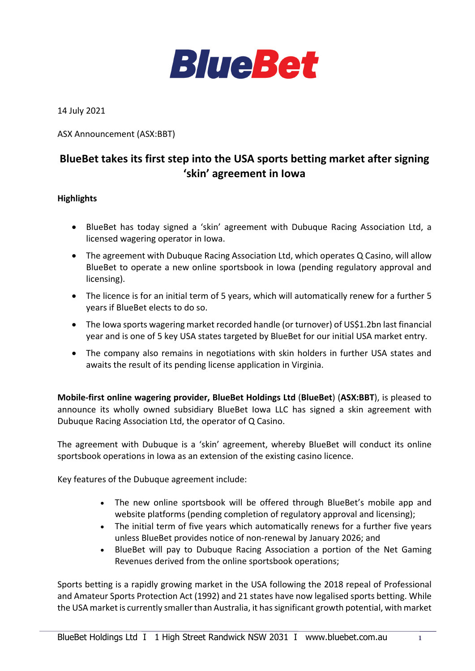

14 July 2021

ASX Announcement (ASX:BBT)

# **BlueBet takes its first step into the USA sports betting market after signing 'skin' agreement in Iowa**

### **Highlights**

- BlueBet has today signed a 'skin' agreement with Dubuque Racing Association Ltd, a licensed wagering operator in Iowa.
- The agreement with Dubuque Racing Association Ltd, which operates Q Casino, will allow BlueBet to operate a new online sportsbook in Iowa (pending regulatory approval and licensing).
- The licence is for an initial term of 5 years, which will automatically renew for a further 5 years if BlueBet elects to do so.
- The Iowa sports wagering market recorded handle (or turnover) of US\$1.2bn last financial year and is one of 5 key USA states targeted by BlueBet for our initial USA market entry.
- The company also remains in negotiations with skin holders in further USA states and awaits the result of its pending license application in Virginia.

**Mobile-first online wagering provider, BlueBet Holdings Ltd** (**BlueBet**) (**ASX:BBT**), is pleased to announce its wholly owned subsidiary BlueBet Iowa LLC has signed a skin agreement with Dubuque Racing Association Ltd, the operator of Q Casino.

The agreement with Dubuque is a 'skin' agreement, whereby BlueBet will conduct its online sportsbook operations in Iowa as an extension of the existing casino licence.

Key features of the Dubuque agreement include:

- The new online sportsbook will be offered through BlueBet's mobile app and website platforms (pending completion of regulatory approval and licensing);
- The initial term of five years which automatically renews for a further five years unless BlueBet provides notice of non-renewal by January 2026; and
- BlueBet will pay to Dubuque Racing Association a portion of the Net Gaming Revenues derived from the online sportsbook operations;

Sports betting is a rapidly growing market in the USA following the 2018 repeal of Professional and Amateur Sports Protection Act (1992) and 21 states have now legalised sports betting. While the USA market is currently smaller than Australia, it has significant growth potential, with market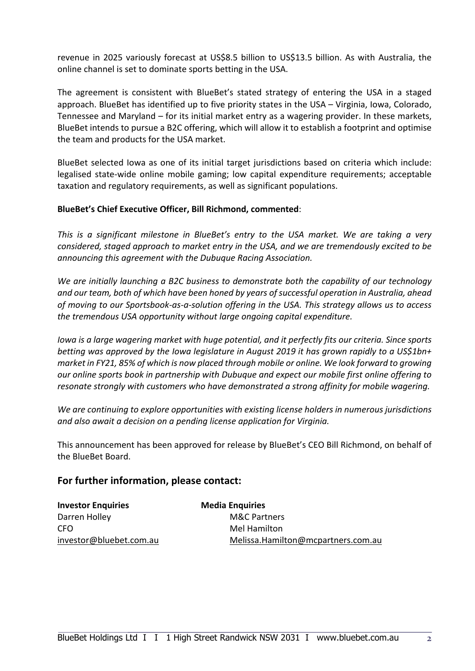revenue in 2025 variously forecast at US\$8.5 billion to US\$13.5 billion. As with Australia, the online channel is set to dominate sports betting in the USA.

The agreement is consistent with BlueBet's stated strategy of entering the USA in a staged approach. BlueBet has identified up to five priority states in the USA – Virginia, Iowa, Colorado, Tennessee and Maryland – for its initial market entry as a wagering provider. In these markets, BlueBet intends to pursue a B2C offering, which will allow it to establish a footprint and optimise the team and products for the USA market.

BlueBet selected Iowa as one of its initial target jurisdictions based on criteria which include: legalised state-wide online mobile gaming; low capital expenditure requirements; acceptable taxation and regulatory requirements, as well as significant populations.

### **BlueBet's Chief Executive Officer, Bill Richmond, commented**:

*This is a significant milestone in BlueBet's entry to the USA market. We are taking a very considered, staged approach to market entry in the USA, and we are tremendously excited to be announcing this agreement with the Dubuque Racing Association.* 

*We are initially launching a B2C business to demonstrate both the capability of our technology and our team, both of which have been honed by years of successful operation in Australia, ahead of moving to our Sportsbook-as-a-solution offering in the USA. This strategy allows us to access the tremendous USA opportunity without large ongoing capital expenditure.*

*Iowa is a large wagering market with huge potential, and it perfectly fits our criteria. Since sports betting was approved by the Iowa legislature in August 2019 it has grown rapidly to a US\$1bn+ market in FY21, 85% of which is now placed through mobile or online. We look forward to growing our online sports book in partnership with Dubuque and expect our mobile first online offering to resonate strongly with customers who have demonstrated a strong affinity for mobile wagering.* 

*We are continuing to explore opportunities with existing license holders in numerous jurisdictions and also await a decision on a pending license application for Virginia.*

This announcement has been approved for release by BlueBet's CEO Bill Richmond, on behalf of the BlueBet Board.

## **For further information, please contact:**

| <b>Investor Enquiries</b> | <b>Media Enquiries</b>             |
|---------------------------|------------------------------------|
| Darren Holley             | <b>M&amp;C Partners</b>            |
| CFO.                      | Mel Hamilton                       |
| investor@bluebet.com.au   | Melissa.Hamilton@mcpartners.com.au |